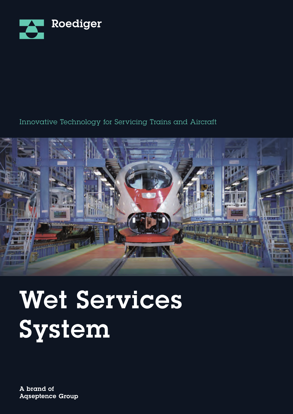

#### Innovative Technology for Servicing Trains and Aircraft



# Wet Services System

A brand of **Agseptence Group**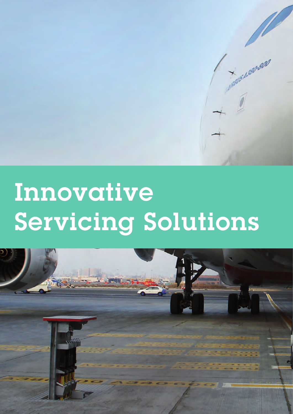# Innovative Servicing Solutions

HANSANDO BO

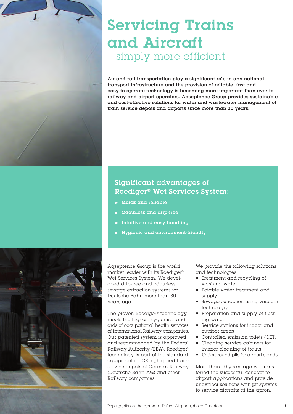

### Servicing Trains and Aircraft – simply more efficient

Air and rail transportation play a significant role in any national transport infrastructure and the provision of reliable, fast and easy-to-operate technology is becoming more important than ever to railway and airport operators. Aqseptence Group provides sustainable and cost-effective solutions for water and wastewater management of train service depots and airports since more than 30 years.

#### Significant advantages of Roediger® Wet Services System:

- Quick and reliable
- Odourless and drip-free
- Intuitive and easy handling
- Hygienic and environment-friendly



Aqseptence Group is the world market leader with its Roediger® Wet Services System. We developed drip-free and odourless sewage extraction systems for Deutsche Bahn more than 30 years ago.

The proven Roediger® technology meets the highest hygienic standards of occupational health services of International Railway companies. Our patented system is approved and recommended by the Federal Railway Authority (EBA). Roediger® technology is part of the standard equipment in ICE high speed trains service depots of German Railway (Deutsche Bahn AG) and other Railway companies.

We provide the following solutions and technologies:

- Treatment and recycling of washing water
- Potable water treatment and supply
- Sewage extraction using vacuum technology
- Preparation and supply of flushing water
- Service stations for indoor and outdoor areas
- Controlled emission toilets (CET)
- Cleaning service cabinets for interior cleaning of trains
- Underground pits for airport stands

More than 10 years ago we transferred the successful concept to airport applications and provide underfloor solutions with pit systems to service aircrafts at the apron.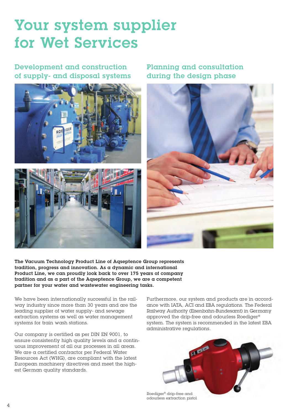## Your system supplier for Wet Services

Development and construction of supply- and disposal systems





Planning and consultation during the design phase



The Vacuum Technology Product Line of Aqseptence Group represents tradition, progress and innovation. As a dynamic and international Product Line, we can proudly look back to over 175 years of company tradition and as a part of the Aqseptence Group, we are a competent partner for your water and wastewater engineering tasks.

We have been internationally successful in the railway industry since more than 30 years and are the leading supplier of water supply- and sewage extraction systems as well as water management systems for train wash stations.

Our company is certified as per DIN EN 9001, to ensure consistently high quality levels and a continuous improvement of all our processes in all areas. We are a certified contractor per Federal Water Resources Act (WHG), are compliant with the latest European machinery directives and meet the highest German quality standards.

Furthermore, our system and products are in accordance with IATA, ACI and EBA regulations. The Federal Railway Authority (Eisenbahn-Bundesamt) in Germany approved the drip-free and odourless Roediger® system. The system is recommended in the latest EBA administrative regulations.



odourless extraction pistol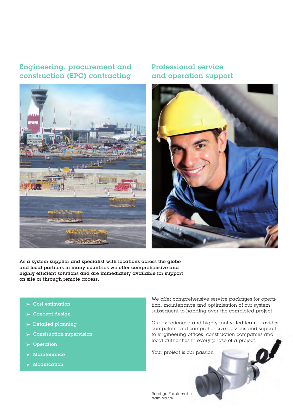#### Engineering, procurement and construction (EPC) contracting



#### Professional service and operation support



As  $\alpha$  system supplier and specialist with locations across the globe and local partners in many countries we offer comprehensive and highly efficient solutions and are immediately available for support on site or through remote access.

- $\blacktriangleright$  Cost estimation
- $\blacktriangleright$  Concept design
- $\blacktriangleright$  Detailed planning
- $\blacktriangleright$  Construction supervision
- **D**oeration
- Maintenance
- Modification

We offer comprehensive service packages for operation, maintenance and optimisation of our system, subsequent to handing over the completed project.

Our experienced and highly motivated team provides competent and comprehensive services and support to engineering offices, construction companies and local authorities in every phase of a project.

Your project is our passion!

Roediger® automatic train valve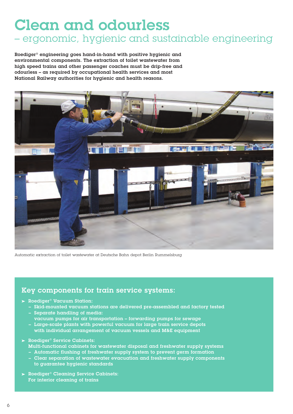# Clean and odourless

#### – ergonomic, hygienic and sustainable engineering

Roediger® engineering goes hand-in-hand with positive hygienic and environmental components. The extraction of toilet wastewater from high speed trains and other passenger coaches must be drip-free and odourless – as required by occupational health services and most National Railway authorities for hygienic and health reasons.



Automatic extraction of toilet wastewater at Deutsche Bahn depot Berlin Rummelsburg

#### Key components for train service systems:

- $\blacktriangleright$  Roediger<sup>®</sup> Vacuum Station:
	- Skid-mounted vacuum stations are delivered pre-assembled and factory tested – Separate handling of media:
		- vacuum pumps for air transportation forwarding pumps for sewage
	- Large-scale plants with powerful vacuum for large train service depots with individual arrangement of vacuum vessels and M&E equipment
- Roediger® Service Cabinets: Multi-functional cabinets for wastewater disposal and freshwater supply systems
	- Automatic flushing of freshwater supply system to prevent germ formation
	- Clear separation of wastewater evacuation and freshwater supply components to guarantee hygienic standards
- $\blacktriangleright$  Roediger® Cleaning Service Cabinets: For interior cleaning of trains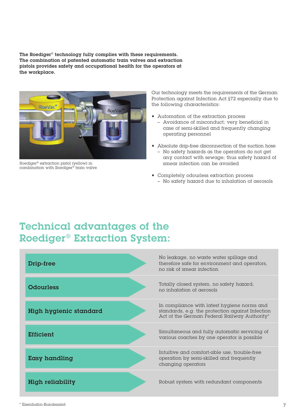The Roediger® technology fully complies with these requirements. The combination of patented automatic train valves and extraction pistols provides safety and occupational health for the operators at the workplace.



Roediger® extraction pistol (yellow) in combination with Roediger® train valve

Our technology meets the requirements of the German Protection against Infection Act §72 especially due to the following characteristics:

- Automation of the extraction process
	- Avoidance of misconduct; very beneficial in case of semi-skilled and frequently changing operating personnel
- Absolute drip-free disconnection of the suction hose
	- No safety hazards as the operators do not get any contact with sewage; thus safety hazard of smear infection can be avoided
- Completely odourless extraction process – No safety hazard due to inhalation of aerosols

#### Technical advantages of the Roediger® Extraction System:

| Drip-free               | No leakage, no waste water spillage and<br>therefore safe for environment and operators,<br>no risk of smear infection                          |
|-------------------------|-------------------------------------------------------------------------------------------------------------------------------------------------|
| <b>Odourless</b>        | Totally closed system, no safety hazard,<br>no inhalation of gerosols                                                                           |
| High hygienic standard  | In compliance with latest hygiene norms and<br>standards, e.g. the protection against Infection<br>Act of the German Federal Railway Authority* |
| <b>Efficient</b>        | Simultaneous and fully automatic servicing of<br>various coaches by one operator is possible                                                    |
| <b>Easy handling</b>    | Intuitive and comfort-able use, trouble-free<br>operation by semi-skilled and frequently<br>changing operators                                  |
| <b>High reliability</b> | Robust system with redundant components                                                                                                         |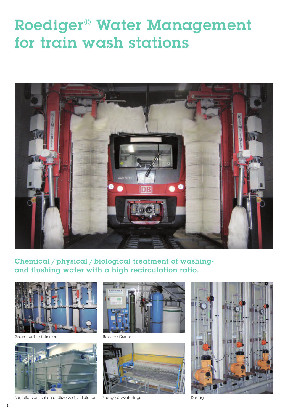## Roediger® Water Management for train wash stations



Chemical / physical / biological treatment of washingand flushing water with a high recirculation ratio.





Lamella clarification or dissolved air flotation



bio-filtration Reverse Osmosis



Sludge dewaterings and the Dosing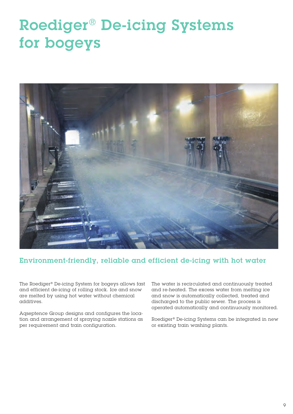# Roediger® De-icing Systems for bogeys



#### Environment-friendly, reliable and efficient de-icing with hot water

The Roediger® De-icing System for bogeys allows fast and efficient de-icing of rolling stock. Ice and snow are melted by using hot water without chemical additives.

Aqseptence Group designs and configures the location and arrangement of spraying nozzle stations as per requirement and train configuration.

The water is recirculated and continuously treated and re-heated. The excess water from melting ice and snow is automatically collected, treated and discharged to the public sewer. The process is operated automatically and continuously monitored.

Roediger® De-icing Systems can be integrated in new or existing train washing plants.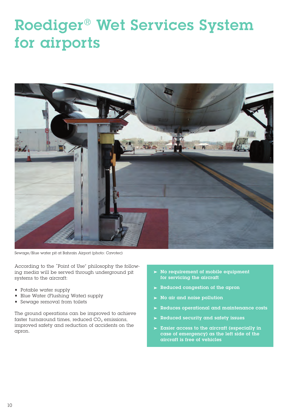# Roediger® Wet Services System for airports



Sewage/Blue water pit at Bahrain Airport (photo: Cavotec)

According to the ˝Point of Use" philosophy the following media will be served through underground pit systems to the aircraft:

- Potable water supply
- Blue Water (Flushing Water) supply
- Sewage removal from toilets

The ground operations can be improved to achieve faster turnaround times, reduced  $CO<sub>2</sub>$  emissions, improved safety and reduction of accidents on the apron.

- $\triangleright$  No requirement of mobile equipment for servicing the aircraft
- Reduced congestion of the apron  $\blacktriangleright$
- No air and noise pollution
- Reduces operational and maintenance costs
- Reduced security and safety issues  $\blacktriangleright$
- $\blacktriangleright$  Easier access to the aircraft (especially in case of emergency) as the left side of the aircraft is free of vehicles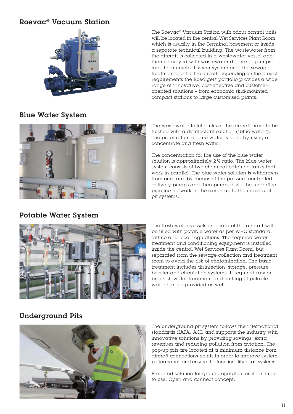#### Roevac® Vacuum Station



Blue Water System

The Roevac® Vacuum Station with odour control units will be located in the central Wet Services Plant Room, which is usually in the Terminal basement or inside a separate technical building. The wastewater from the aircraft is collected in a wastewater vessel and then conveyed with wastewater discharge pumps into the municipal sewer system or to the sewage treatment plant of the airport. Depending on the project requirements the Roediger® portfolio provides a wide range of innovative, cost-effective and customeroriented solutions – from economic skid-mounted compact stations to large customised plants.



#### Potable Water System

The wastewater toilet tanks of the aircraft have to be flushed with a disinfectant solution ("blue water"). The preparation of blue water is done by using  $\alpha$ concentrate and fresh water.

The concentration for the use of the blue water solution is approximately 2 % ratio. The blue water system consists of two chemical batching tanks that work in parallel. The blue water solution is withdrawn from one tank by means of the pressure controlled delivery pumps and then pumped via the underfloor pipeline network in the apron up to the individual pit systems.



The fresh water vessels on board of the aircraft will be filled with potable water as per WHO standard, airline and local regulations. The required water treatment and conditioning equipment is installed inside the central Wet Services Plant Room, but separated from the sewage collection and treatment room to avoid the risk of contamination. The basic treatment includes disinfection, storage, pressure booster and circulation systems. If required raw or brackish water treatment and chilling of potable water can be provided as well.

#### Underground Pits



The underground pit system follows the international standards (IATA, ACI) and supports the industry with innovative solutions by providing savings, extra revenues and reducing pollution from aviation. The pop-up pits are located at a minimum distance from aircraft connections points in order to improve system performance and ensure the functionality of all systems.

Preferred solution for ground operators as it is simple to use: Open and connect concept.